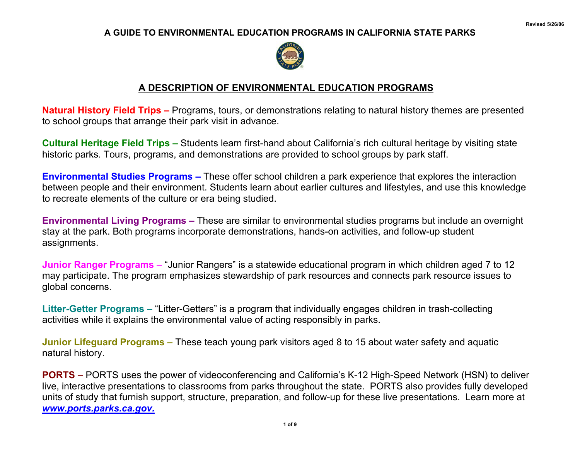## **A GUIDE TO ENVIRONMENTAL EDUCATION PROGRAMS IN CALIFORNIA STATE PARKS**



## **A DESCRIPTION OF ENVIRONMENTAL EDUCATION PROGRAMS**

**Natural History Field Trips –** Programs, tours, or demonstrations relating to natural history themes are presented to school groups that arrange their park visit in advance.

**Cultural Heritage Field Trips –** Students learn first-hand about California's rich cultural heritage by visiting state historic parks. Tours, programs, and demonstrations are provided to school groups by park staff.

**Environmental Studies Programs –** These offer school children a park experience that explores the interaction between people and their environment. Students learn about earlier cultures and lifestyles, and use this knowledge to recreate elements of the culture or era being studied.

**Environmental Living Programs –** These are similar to environmental studies programs but include an overnight stay at the park. Both programs incorporate demonstrations, hands-on activities, and follow-up student assignments.

**Junior Ranger Programs** – "Junior Rangers" is a statewide educational program in which children aged 7 to 12 may participate. The program emphasizes stewardship of park resources and connects park resource issues to global concerns.

**Litter-Getter Programs –** "Litter-Getters" is a program that individually engages children in trash-collecting activities while it explains the environmental value of acting responsibly in parks.

**Junior Lifeguard Programs –** These teach young park visitors aged 8 to 15 about water safety and aquatic natural history.

**PORTS –** PORTS uses the power of videoconferencing and California's K-12 High-Speed Network (HSN) to deliver live, interactive presentations to classrooms from parks throughout the state. PORTS also provides fully developed units of study that furnish support, structure, preparation, and follow-up for these live presentations. Learn more at *www.ports.parks.ca.gov.*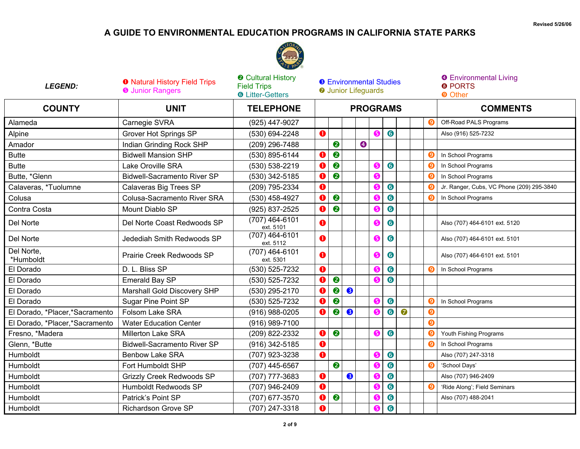## **A GUIDE TO ENVIRONMENTAL EDUCATION PROGRAMS IN CALIFORNIA STATE PARKS**



| <b>LEGEND:</b>                 | <b>O</b> Natural History Field Trips<br><b>O</b> Junior Rangers | <b>@</b> Cultural History<br><b>Field Trips</b><br><b>6</b> Litter-Getters |         | <b>8</b> Environmental Studies<br><b>O</b> Junior Lifeguards |   |                  |           |           |           |  | <b>O</b> Environmental Living<br><b>8 PORTS</b><br><b>O</b> Other |                                           |  |
|--------------------------------|-----------------------------------------------------------------|----------------------------------------------------------------------------|---------|--------------------------------------------------------------|---|------------------|-----------|-----------|-----------|--|-------------------------------------------------------------------|-------------------------------------------|--|
| <b>COUNTY</b>                  | <b>UNIT</b>                                                     | <b>TELEPHONE</b>                                                           |         |                                                              |   | <b>PROGRAMS</b>  |           |           |           |  |                                                                   | <b>COMMENTS</b>                           |  |
| Alameda                        | Carnegie SVRA                                                   | (925) 447-9027                                                             |         |                                                              |   |                  |           |           |           |  |                                                                   | Off-Road PALS Programs                    |  |
| Alpine                         | <b>Grover Hot Springs SP</b>                                    | (530) 694-2248                                                             | $\bf o$ |                                                              |   |                  | 6         | $\bullet$ |           |  |                                                                   | Also (916) 525-7232                       |  |
| Amador                         | Indian Grinding Rock SHP                                        | (209) 296-7488                                                             |         | 2                                                            |   | $\boldsymbol{Q}$ |           |           |           |  |                                                                   |                                           |  |
| <b>Butte</b>                   | <b>Bidwell Mansion SHP</b>                                      | (530) 895-6144                                                             | 0       | 2                                                            |   |                  |           |           |           |  | 0                                                                 | In School Programs                        |  |
| <b>Butte</b>                   | Lake Oroville SRA                                               | (530) 538-2219                                                             | 0       | 2                                                            |   |                  | 6         | $\bullet$ |           |  |                                                                   | In School Programs                        |  |
| Butte, *Glenn                  | <b>Bidwell-Sacramento River SP</b>                              | (530) 342-5185                                                             |         | 2                                                            |   |                  | 6         |           |           |  |                                                                   | In School Programs                        |  |
| Calaveras, *Tuolumne           | Calaveras Big Trees SP                                          | (209) 795-2334                                                             | 0       |                                                              |   |                  | 6         | $\bullet$ |           |  |                                                                   | Jr. Ranger, Cubs, VC Phone (209) 295-3840 |  |
| Colusa                         | Colusa-Sacramento River SRA                                     | (530) 458-4927                                                             |         | 2                                                            |   |                  | 6         | 6         |           |  |                                                                   | In School Programs                        |  |
| Contra Costa                   | Mount Diablo SP                                                 | (925) 837-2525                                                             | O       | $\bullet$                                                    |   |                  | 6         | 6         |           |  |                                                                   |                                           |  |
| Del Norte                      | Del Norte Coast Redwoods SP                                     | (707) 464-6101<br>ext. 5101                                                |         |                                                              |   |                  | 6         | 6         |           |  |                                                                   | Also (707) 464-6101 ext. 5120             |  |
| Del Norte                      | Jedediah Smith Redwoods SP                                      | (707) 464-6101<br>ext. 5112                                                | a       |                                                              |   |                  | 6         | $\bullet$ |           |  |                                                                   | Also (707) 464-6101 ext. 5101             |  |
| Del Norte,<br>*Humboldt        | Prairie Creek Redwoods SP                                       | (707) 464-6101<br>ext. 5301                                                | O       |                                                              |   |                  | 6         | 6         |           |  |                                                                   | Also (707) 464-6101 ext. 5101             |  |
| El Dorado                      | D. L. Bliss SP                                                  | (530) 525-7232                                                             | 0       |                                                              |   |                  | 6         | $\bullet$ |           |  | Θ                                                                 | In School Programs                        |  |
| El Dorado                      | Emerald Bay SP                                                  | (530) 525-7232                                                             |         | $\boldsymbol{Q}$                                             |   |                  | G         | 6         |           |  |                                                                   |                                           |  |
| El Dorado                      | Marshall Gold Discovery SHP                                     | (530) 295-2170                                                             | Ω       | $\bullet$                                                    | 8 |                  |           |           |           |  |                                                                   |                                           |  |
| El Dorado                      | Sugar Pine Point SP                                             | (530) 525-7232                                                             | Ω       | $\bullet$                                                    |   |                  | 6         | $\bullet$ |           |  |                                                                   | In School Programs                        |  |
| El Dorado, *Placer,*Sacramento | Folsom Lake SRA                                                 | $(916)$ 988-0205                                                           | a       | ❷                                                            | ❸ |                  | G         | $\bullet$ | $\bullet$ |  | $\boldsymbol{0}$                                                  |                                           |  |
| El Dorado, *Placer,*Sacramento | <b>Water Education Center</b>                                   | (916) 989-7100                                                             |         |                                                              |   |                  |           |           |           |  | $\boldsymbol{\Theta}$                                             |                                           |  |
| Fresno, *Madera                | <b>Millerton Lake SRA</b>                                       | (209) 822-2332                                                             | 0       | $\bullet$                                                    |   |                  | 6         | $\bullet$ |           |  |                                                                   | Youth Fishing Programs                    |  |
| Glenn, *Butte                  | <b>Bidwell-Sacramento River SP</b>                              | $(916)$ 342-5185                                                           | 0       |                                                              |   |                  |           |           |           |  |                                                                   | In School Programs                        |  |
| Humboldt                       | <b>Benbow Lake SRA</b>                                          | (707) 923-3238                                                             | O       |                                                              |   |                  | 6         | $\bullet$ |           |  |                                                                   | Also (707) 247-3318                       |  |
| Humboldt                       | Fort Humboldt SHP                                               | (707) 445-6567                                                             |         | 2                                                            |   |                  | G         | $\bullet$ |           |  | O                                                                 | 'School Days'                             |  |
| Humboldt                       | <b>Grizzly Creek Redwoods SP</b>                                | (707) 777-3683                                                             | 0       |                                                              | ❸ |                  | G         | $\bullet$ |           |  |                                                                   | Also (707) 946-2409                       |  |
| Humboldt                       | Humboldt Redwoods SP                                            | (707) 946-2409                                                             | O       |                                                              |   |                  | 6         | $\bullet$ |           |  |                                                                   | 'Ride Along'; Field Seminars              |  |
| Humboldt                       | Patrick's Point SP                                              | (707) 677-3570                                                             |         | 2                                                            |   |                  | G         | $\bullet$ |           |  |                                                                   | Also (707) 488-2041                       |  |
| Humboldt                       | <b>Richardson Grove SP</b>                                      | (707) 247-3318                                                             | $\bf o$ |                                                              |   |                  | $\bullet$ | $\bullet$ |           |  |                                                                   |                                           |  |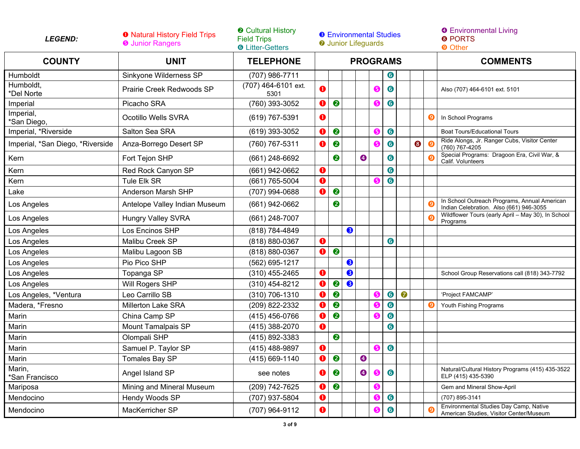| <b>LEGEND:</b>                   | <b>O</b> Natural History Field Trips<br><b>O</b> Junior Rangers | <b>@ Cultural History</b><br><b>Field Trips</b><br><b>6</b> Litter-Getters | <b>8</b> Environmental Studies<br><b>O</b> Junior Lifeguards |           |   |           |                 |           |           |   | <b>O</b> Environmental Living<br><b>8 PORTS</b><br><b>O</b> Other |                                                                                         |
|----------------------------------|-----------------------------------------------------------------|----------------------------------------------------------------------------|--------------------------------------------------------------|-----------|---|-----------|-----------------|-----------|-----------|---|-------------------------------------------------------------------|-----------------------------------------------------------------------------------------|
| <b>COUNTY</b>                    | <b>UNIT</b>                                                     | <b>TELEPHONE</b>                                                           |                                                              |           |   |           | <b>PROGRAMS</b> |           |           |   |                                                                   | <b>COMMENTS</b>                                                                         |
| Humboldt                         | Sinkyone Wilderness SP                                          | (707) 986-7711                                                             |                                                              |           |   |           |                 | 6         |           |   |                                                                   |                                                                                         |
| Humboldt,<br>*Del Norte          | Prairie Creek Redwoods SP                                       | (707) 464-6101 ext.<br>5301                                                | $\bullet$                                                    |           |   |           | 6               | $\bullet$ |           |   |                                                                   | Also (707) 464-6101 ext. 5101                                                           |
| Imperial                         | Picacho SRA                                                     | (760) 393-3052                                                             | O                                                            | $\bullet$ |   |           | 6               | $\bullet$ |           |   |                                                                   |                                                                                         |
| Imperial,<br>'San Diego,         | Ocotillo Wells SVRA                                             | (619) 767-5391                                                             | $\bullet$                                                    |           |   |           |                 |           |           |   | $\boldsymbol{0}$                                                  | In School Programs                                                                      |
| Imperial, *Riverside             | Salton Sea SRA                                                  | (619) 393-3052                                                             | 0                                                            | $\bullet$ |   |           | 6               | $\bullet$ |           |   |                                                                   | <b>Boat Tours/Educational Tours</b>                                                     |
| Imperial, *San Diego, *Riverside | Anza-Borrego Desert SP                                          | (760) 767-5311                                                             | $\bullet$                                                    | ❷         |   |           | 6               | $\bullet$ |           | ❸ | O                                                                 | Ride Alongs, Jr. Ranger Cubs, Visitor Center<br>(760) 767-4205                          |
| Kern                             | Fort Tejon SHP                                                  | (661) 248-6692                                                             |                                                              | 2         |   | $\bullet$ |                 | 6         |           |   |                                                                   | Special Programs: Dragoon Era, Civil War, &<br>Calif. Volunteers                        |
| Kern                             | Red Rock Canyon SP                                              | (661) 942-0662                                                             | $\bullet$                                                    |           |   |           |                 | $\bullet$ |           |   |                                                                   |                                                                                         |
| Kern                             | Tule Elk SR                                                     | (661) 765-5004                                                             | $\bullet$                                                    |           |   |           |                 | 6         |           |   |                                                                   |                                                                                         |
| Lake                             | Anderson Marsh SHP                                              | (707) 994-0688                                                             | $\mathbf 0$                                                  | ❷         |   |           |                 |           |           |   |                                                                   |                                                                                         |
| Los Angeles                      | Antelope Valley Indian Museum                                   | (661) 942-0662                                                             |                                                              | ❷         |   |           |                 |           |           |   |                                                                   | In School Outreach Programs, Annual American<br>Indian Celebration. Also (661) 946-3055 |
| Los Angeles                      | <b>Hungry Valley SVRA</b>                                       | (661) 248-7007                                                             |                                                              |           |   |           |                 |           |           |   |                                                                   | Wildflower Tours (early April - May 30), In School<br>Programs                          |
| Los Angeles                      | Los Encinos SHP                                                 | (818) 784-4849                                                             |                                                              |           | 8 |           |                 |           |           |   |                                                                   |                                                                                         |
| Los Angeles                      | Malibu Creek SP                                                 | (818) 880-0367                                                             | $\mathbf 0$                                                  |           |   |           |                 | $\bullet$ |           |   |                                                                   |                                                                                         |
| Los Angeles                      | Malibu Lagoon SB                                                | (818) 880-0367                                                             | 0                                                            | 2         |   |           |                 |           |           |   |                                                                   |                                                                                         |
| Los Angeles                      | Pio Pico SHP                                                    | (562) 695-1217                                                             |                                                              |           | ❸ |           |                 |           |           |   |                                                                   |                                                                                         |
| Los Angeles                      | Topanga SP                                                      | $(310)$ 455-2465                                                           | 0                                                            |           | ❸ |           |                 |           |           |   |                                                                   | School Group Reservations call (818) 343-7792                                           |
| Los Angeles                      | Will Rogers SHP                                                 | (310) 454-8212                                                             | $\bullet$                                                    | 2         | 8 |           |                 |           |           |   |                                                                   |                                                                                         |
| Los Angeles, *Ventura            | Leo Carrillo SB                                                 | $(310)$ 706-1310                                                           | O                                                            | ❷         |   |           | G               | $\bullet$ | $\bullet$ |   |                                                                   | 'Project FAMCAMP'                                                                       |
| Madera, *Fresno                  | <b>Millerton Lake SRA</b>                                       | (209) 822-2332                                                             | 0                                                            | ❷         |   |           | G               | $\bullet$ |           |   | Θ                                                                 | Youth Fishing Programs                                                                  |
| Marin                            | China Camp SP                                                   | (415) 456-0766                                                             | O                                                            | $\bullet$ |   |           | G               | 6         |           |   |                                                                   |                                                                                         |
| Marin                            | Mount Tamalpais SP                                              | (415) 388-2070                                                             | $\mathbf 0$                                                  |           |   |           |                 | $\bullet$ |           |   |                                                                   |                                                                                         |
| Marin                            | Olompali SHP                                                    | (415) 892-3383                                                             |                                                              | ❷         |   |           |                 |           |           |   |                                                                   |                                                                                         |
| Marin                            | Samuel P. Taylor SP                                             | (415) 488-9897                                                             | $\bullet$                                                    |           |   |           | G               | $\bullet$ |           |   |                                                                   |                                                                                         |
| Marin                            | Tomales Bay SP                                                  | $(415) 669 - 1140$                                                         | $\mathbf 0$                                                  | ❷         |   | $\bullet$ |                 |           |           |   |                                                                   |                                                                                         |
| Marin,<br>*San Francisco         | Angel Island SP                                                 | see notes                                                                  | O                                                            | ❷         |   | ❹         | €               | 6         |           |   |                                                                   | Natural/Cultural History Programs (415) 435-3522<br>ELP (415) 435-5390                  |
| Mariposa                         | Mining and Mineral Museum                                       | (209) 742-7625                                                             | a                                                            | $\bullet$ |   |           | 6               |           |           |   |                                                                   | Gem and Mineral Show-April                                                              |
| Mendocino                        | Hendy Woods SP                                                  | (707) 937-5804                                                             | $\mathbf 0$                                                  |           |   |           | 6               | 6         |           |   |                                                                   | (707) 895-3141                                                                          |
| Mendocino                        | MacKerricher SP                                                 | (707) 964-9112                                                             | $\bullet$                                                    |           |   |           | G               | 6         |           |   | r c                                                               | Environmental Studies Day Camp, Native<br>American Studies, Visitor Center/Museum       |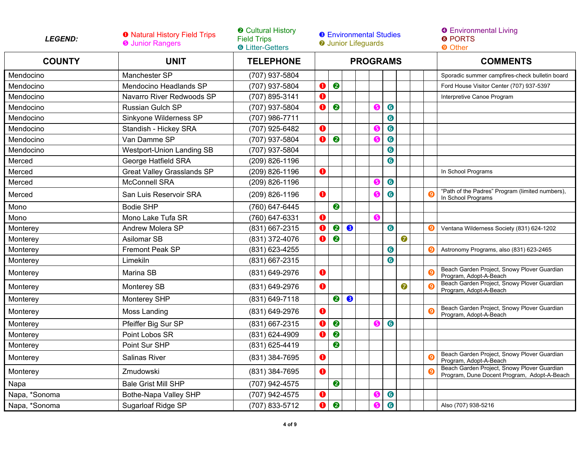| <b>LEGEND:</b> | <b>O</b> Natural History Field Trips<br><b>O</b> Junior Rangers | <b>@ Cultural History</b><br><b>Field Trips</b><br><b>6</b> Litter-Getters | <b>8</b> Environmental Studies<br><b>O</b> Junior Lifeguards |           |           |                 |    |           |           |  | <b>O</b> Environmental Living<br><b>@ PORTS</b><br><b>O</b> Other                          |  |  |
|----------------|-----------------------------------------------------------------|----------------------------------------------------------------------------|--------------------------------------------------------------|-----------|-----------|-----------------|----|-----------|-----------|--|--------------------------------------------------------------------------------------------|--|--|
| <b>COUNTY</b>  | <b>UNIT</b>                                                     | <b>TELEPHONE</b>                                                           |                                                              |           |           | <b>PROGRAMS</b> |    |           |           |  | <b>COMMENTS</b>                                                                            |  |  |
| Mendocino      | Manchester SP                                                   | (707) 937-5804                                                             |                                                              |           |           |                 |    |           |           |  | Sporadic summer campfires-check bulletin board                                             |  |  |
| Mendocino      | Mendocino Headlands SP                                          | (707) 937-5804                                                             | Π                                                            | 2         |           |                 |    |           |           |  | Ford House Visitor Center (707) 937-5397                                                   |  |  |
| Mendocino      | Navarro River Redwoods SP                                       | (707) 895-3141                                                             | O                                                            |           |           |                 |    |           |           |  | Interpretive Canoe Program                                                                 |  |  |
| Mendocino      | <b>Russian Gulch SP</b>                                         | (707) 937-5804                                                             | O                                                            | $\bullet$ |           |                 |    | $\bullet$ |           |  |                                                                                            |  |  |
| Mendocino      | Sinkyone Wilderness SP                                          | (707) 986-7711                                                             |                                                              |           |           |                 |    | 6         |           |  |                                                                                            |  |  |
| Mendocino      | Standish - Hickey SRA                                           | (707) 925-6482                                                             | $\mathbf 0$                                                  |           |           |                 |    | $\bullet$ |           |  |                                                                                            |  |  |
| Mendocino      | Van Damme SP                                                    | (707) 937-5804                                                             | 0                                                            | $\bullet$ |           |                 | 6  | $\bullet$ |           |  |                                                                                            |  |  |
| Mendocino      | <b>Westport-Union Landing SB</b>                                | (707) 937-5804                                                             |                                                              |           |           |                 |    | $\bullet$ |           |  |                                                                                            |  |  |
| Merced         | George Hatfield SRA                                             | (209) 826-1196                                                             |                                                              |           |           |                 |    | $\bullet$ |           |  |                                                                                            |  |  |
| Merced         | <b>Great Valley Grasslands SP</b>                               | (209) 826-1196                                                             | $\mathbf 0$                                                  |           |           |                 |    |           |           |  | In School Programs                                                                         |  |  |
| Merced         | <b>McConnell SRA</b>                                            | (209) 826-1196                                                             |                                                              |           |           |                 |    | $\bullet$ |           |  |                                                                                            |  |  |
| Merced         | San Luis Reservoir SRA                                          | (209) 826-1196                                                             | $\bullet$                                                    |           |           |                 |    | $\bullet$ |           |  | "Path of the Padres" Program (limited numbers),<br>In School Programs                      |  |  |
| Mono           | <b>Bodie SHP</b>                                                | (760) 647-6445                                                             |                                                              | 2         |           |                 |    |           |           |  |                                                                                            |  |  |
| Mono           | Mono Lake Tufa SR                                               | (760) 647-6331                                                             | O                                                            |           |           |                 | ❺  |           |           |  |                                                                                            |  |  |
| Monterey       | Andrew Molera SP                                                | (831) 667-2315                                                             | O                                                            | $\bullet$ | ❸         |                 |    | $\bullet$ |           |  | Ventana Wilderness Society (831) 624-1202                                                  |  |  |
| Monterey       | Asilomar SB                                                     | (831) 372-4076                                                             | O                                                            | 2         |           |                 |    |           | 0         |  |                                                                                            |  |  |
| Monterey       | Fremont Peak SP                                                 | (831) 623-4255                                                             |                                                              |           |           |                 |    | $\bullet$ |           |  | Astronomy Programs, also (831) 623-2465                                                    |  |  |
| Monterey       | Limekiln                                                        | (831) 667-2315                                                             |                                                              |           |           |                 |    | $\bullet$ |           |  |                                                                                            |  |  |
| Monterey       | Marina SB                                                       | (831) 649-2976                                                             | $\mathbf 0$                                                  |           |           |                 |    |           |           |  | Beach Garden Project, Snowy Plover Guardian<br>Program, Adopt-A-Beach                      |  |  |
| Monterey       | Monterey SB                                                     | (831) 649-2976                                                             | $\mathbf 0$                                                  |           |           |                 |    |           | $\bullet$ |  | Beach Garden Project, Snowy Plover Guardian<br>Program, Adopt-A-Beach                      |  |  |
| Monterey       | Monterey SHP                                                    | (831) 649-7118                                                             |                                                              | 2         | $\bullet$ |                 |    |           |           |  |                                                                                            |  |  |
| Monterey       | Moss Landing                                                    | (831) 649-2976                                                             | $\mathbf 0$                                                  |           |           |                 |    |           |           |  | Beach Garden Project, Snowy Plover Guardian<br>Program, Adopt-A-Beach                      |  |  |
| Monterey       | Pfeiffer Big Sur SP                                             | (831) 667-2315                                                             |                                                              | 2         |           |                 | (5 | 6         |           |  |                                                                                            |  |  |
| Monterey       | Point Lobos SR                                                  | (831) 624-4909                                                             | a                                                            | 2         |           |                 |    |           |           |  |                                                                                            |  |  |
| Monterey       | Point Sur SHP                                                   | (831) 625-4419                                                             |                                                              | ❷         |           |                 |    |           |           |  |                                                                                            |  |  |
| Monterey       | <b>Salinas River</b>                                            | (831) 384-7695                                                             | $\mathbf 0$                                                  |           |           |                 |    |           |           |  | Beach Garden Project, Snowy Plover Guardian<br>Program, Adopt-A-Beach                      |  |  |
| Monterey       | Zmudowski                                                       | (831) 384-7695                                                             | O                                                            |           |           |                 |    |           |           |  | Beach Garden Project, Snowy Plover Guardian<br>Program, Dune Docent Program, Adopt-A-Beach |  |  |
| Napa           | <b>Bale Grist Mill SHP</b>                                      | (707) 942-4575                                                             |                                                              | ❷         |           |                 |    |           |           |  |                                                                                            |  |  |
| Napa, *Sonoma  | Bothe-Napa Valley SHP                                           | (707) 942-4575                                                             | $\bullet$                                                    |           |           |                 | 6  | $\bullet$ |           |  |                                                                                            |  |  |
| Napa, *Sonoma  | Sugarloaf Ridge SP                                              | (707) 833-5712                                                             | a                                                            | $\bullet$ |           |                 |    | $\bullet$ |           |  | Also (707) 938-5216                                                                        |  |  |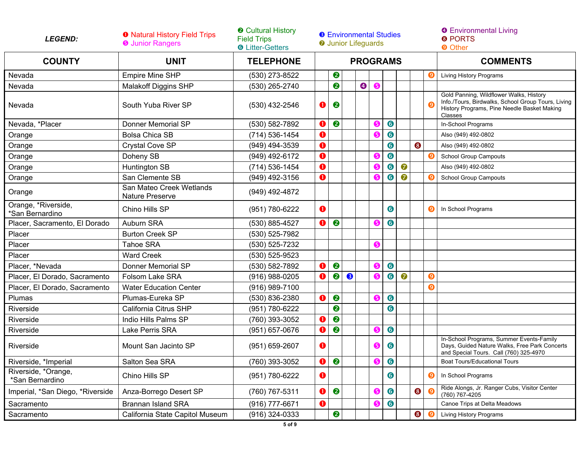| <b>LEGEND:</b>                         | <b>O</b> Natural History Field Trips<br><b>O</b> Junior Rangers | <b>@ Cultural History</b><br><b>Field Trips</b><br><b>O</b> Litter-Getters | <b>8</b> Environmental Studies<br><b>O</b> Junior Lifeguards |                  |   |           |   |           |           |           |                       | <b>O</b> Environmental Living<br><b>8 PORTS</b><br><b>O</b> Other                                                                                       |
|----------------------------------------|-----------------------------------------------------------------|----------------------------------------------------------------------------|--------------------------------------------------------------|------------------|---|-----------|---|-----------|-----------|-----------|-----------------------|---------------------------------------------------------------------------------------------------------------------------------------------------------|
| <b>COUNTY</b>                          | <b>UNIT</b>                                                     | <b>TELEPHONE</b>                                                           | <b>PROGRAMS</b>                                              |                  |   |           |   |           |           |           | <b>COMMENTS</b>       |                                                                                                                                                         |
| Nevada                                 | <b>Empire Mine SHP</b>                                          | (530) 273-8522                                                             |                                                              | 2                |   |           |   |           |           |           | O                     | Living History Programs                                                                                                                                 |
| Nevada                                 | <b>Malakoff Diggins SHP</b>                                     | (530) 265-2740                                                             |                                                              | 2                |   | $\bullet$ | 6 |           |           |           |                       |                                                                                                                                                         |
| Nevada                                 | South Yuba River SP                                             | (530) 432-2546                                                             | 0                                                            | ❷                |   |           |   |           |           |           |                       | Gold Panning, Wildflower Walks, History<br>Info /Tours, Birdwalks, School Group Tours, Living<br>History Programs, Pine Needle Basket Making<br>Classes |
| Nevada, *Placer                        | <b>Donner Memorial SP</b>                                       | (530) 582-7892                                                             | 0                                                            | $\bullet$        |   |           | G | $\bullet$ |           |           |                       | In-School Programs                                                                                                                                      |
| Orange                                 | <b>Bolsa Chica SB</b>                                           | (714) 536-1454                                                             | 0                                                            |                  |   |           | G | $\bullet$ |           |           |                       | Also (949) 492-0802                                                                                                                                     |
| Orange                                 | Crystal Cove SP                                                 | (949) 494-3539                                                             | 0                                                            |                  |   |           |   | $\bullet$ |           | $\bullet$ |                       | Also (949) 492-0802                                                                                                                                     |
| Orange                                 | Doheny SB                                                       | (949) 492-6172                                                             | 0                                                            |                  |   |           | G | $\bullet$ |           |           | O                     | <b>School Group Campouts</b>                                                                                                                            |
| Orange                                 | Huntington SB                                                   | (714) 536-1454                                                             | 0                                                            |                  |   |           | G | $\bullet$ | $\bullet$ |           |                       | Also (949) 492-0802                                                                                                                                     |
| Orange                                 | San Clemente SB                                                 | (949) 492-3156                                                             | $\mathbf 0$                                                  |                  |   |           | G | $\bullet$ | 0         |           | O                     | <b>School Group Campouts</b>                                                                                                                            |
| Orange                                 | San Mateo Creek Wetlands<br>Nature Preserve                     | (949) 492-4872                                                             |                                                              |                  |   |           |   |           |           |           |                       |                                                                                                                                                         |
| Orange, *Riverside,<br>*San Bernardino | Chino Hills SP                                                  | (951) 780-6222                                                             | $\mathbf 0$                                                  |                  |   |           |   | 6         |           |           | O                     | In School Programs                                                                                                                                      |
| Placer, Sacramento, El Dorado          | Auburn SRA                                                      | (530) 885-4527                                                             | O                                                            | $\boldsymbol{Q}$ |   |           | 6 | $\bullet$ |           |           |                       |                                                                                                                                                         |
| Placer                                 | <b>Burton Creek SP</b>                                          | (530) 525-7982                                                             |                                                              |                  |   |           |   |           |           |           |                       |                                                                                                                                                         |
| Placer                                 | <b>Tahoe SRA</b>                                                | (530) 525-7232                                                             |                                                              |                  |   |           | G |           |           |           |                       |                                                                                                                                                         |
| Placer                                 | <b>Ward Creek</b>                                               | (530) 525-9523                                                             |                                                              |                  |   |           |   |           |           |           |                       |                                                                                                                                                         |
| Placer, *Nevada                        | Donner Memorial SP                                              | (530) 582-7892                                                             | O                                                            | $\boldsymbol{Q}$ |   |           | G | $\bullet$ |           |           |                       |                                                                                                                                                         |
| Placer, El Dorado, Sacramento          | <b>Folsom Lake SRA</b>                                          | (916) 988-0205                                                             | O                                                            | $\boldsymbol{Q}$ | 8 |           | 6 | $\bullet$ | $\bullet$ |           | $\boldsymbol{\Theta}$ |                                                                                                                                                         |
| Placer, El Dorado, Sacramento          | <b>Water Education Center</b>                                   | (916) 989-7100                                                             |                                                              |                  |   |           |   |           |           |           | $\boldsymbol{\Theta}$ |                                                                                                                                                         |
| Plumas                                 | Plumas-Eureka SP                                                | (530) 836-2380                                                             | O                                                            | $\bullet$        |   |           | G | $\bullet$ |           |           |                       |                                                                                                                                                         |
| Riverside                              | California Citrus SHP                                           | (951) 780-6222                                                             |                                                              | 2                |   |           |   | $\bullet$ |           |           |                       |                                                                                                                                                         |
| Riverside                              | Indio Hills Palms SP                                            | (760) 393-3052                                                             | O                                                            | 2                |   |           |   |           |           |           |                       |                                                                                                                                                         |
| Riverside                              | <b>Lake Perris SRA</b>                                          | (951) 657-0676                                                             | 0                                                            | 0                |   |           | G | $\bullet$ |           |           |                       |                                                                                                                                                         |
| Riverside                              | Mount San Jacinto SP                                            | (951) 659-2607                                                             | $\mathbf 0$                                                  |                  |   |           | 6 | 6         |           |           |                       | In-School Programs, Summer Events-Family<br>Days, Guided Nature Walks, Free Park Concerts<br>and Special Tours. Call (760) 325-4970                     |
| Riverside, *Imperial                   | Salton Sea SRA                                                  | (760) 393-3052                                                             | $\mathbf 0$                                                  | 2                |   |           | ❺ | $\bullet$ |           |           |                       | Boat Tours/Educational Tours                                                                                                                            |
| Riverside, *Orange,<br>*San Bernardino | Chino Hills SP                                                  | (951) 780-6222                                                             | $\bullet$                                                    |                  |   |           |   | $\bullet$ |           |           | O                     | In School Programs                                                                                                                                      |
| Imperial, *San Diego, *Riverside       | Anza-Borrego Desert SP                                          | (760) 767-5311                                                             | 0                                                            | $\bullet$        |   |           | 6 | $\bullet$ |           | $\bullet$ | $\boldsymbol{9}$      | Ride Alongs, Jr. Ranger Cubs, Visitor Center<br>(760) 767-4205                                                                                          |
| Sacramento                             | <b>Brannan Island SRA</b>                                       | (916) 777-6671                                                             | $\bullet$                                                    |                  |   |           | ❺ | $\bullet$ |           |           |                       | Canoe Trips at Delta Meadows                                                                                                                            |
| Sacramento                             | California State Capitol Museum                                 | $(916)$ 324-0333                                                           |                                                              | 2                |   |           |   |           |           | ❸         | $\boldsymbol{\Theta}$ | Living History Programs                                                                                                                                 |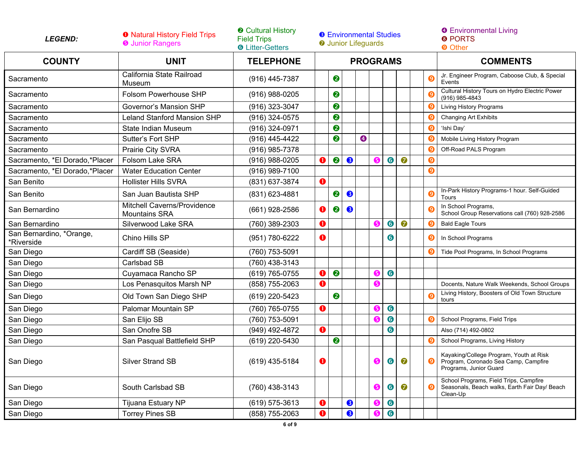| <b>COUNTY</b><br><b>COMMENTS</b><br><b>UNIT</b><br><b>TELEPHONE</b><br><b>PROGRAMS</b><br>California State Railroad<br>Jr. Engineer Program, Caboose Club, & Special<br>❷<br>$\boldsymbol{Q}$<br>(916) 445-7387<br>Sacramento<br>Events<br>Museum<br>Cultural History Tours on Hydro Electric Power<br>❷<br>Folsom Powerhouse SHP<br>Sacramento<br>$(916)$ 988-0205<br>$(916)$ 985-4843<br>❷<br>Sacramento<br>Governor's Mansion SHP<br>(916) 323-3047<br>Living History Programs<br>❷<br>Sacramento<br><b>Leland Stanford Mansion SHP</b><br>(916) 324-0575<br>O<br><b>Changing Art Exhibits</b><br>0<br>Sacramento<br>State Indian Museum<br>(916) 324-0971<br>O<br>'Ishi Day'<br>❷<br>$\boldsymbol{\Theta}$<br>Sacramento<br>Sutter's Fort SHP<br>(916) 445-4422<br>g<br>Mobile Living History Program<br>Sacramento<br>Prairie City SVRA<br>(916) 985-7378<br>Off-Road PALS Program<br>0)<br>2<br>$\bullet$<br>$\bullet$<br>$\bullet$<br>Sacramento, *El Dorado,*Placer<br>Folsom Lake SRA<br>O<br>(916) 988-0205<br>G<br>Θ<br>$\boldsymbol{\Theta}$<br>Sacramento, *El Dorado,*Placer<br><b>Water Education Center</b><br>(916) 989-7100<br>San Benito<br><b>Hollister Hills SVRA</b><br>0<br>(831) 637-3874<br>In-Park History Programs-1 hour. Self-Guided<br>2<br>8<br>San Benito<br>O<br>San Juan Bautista SHP<br>(831) 623-4881<br>Tours<br>Mitchell Caverns/Providence<br>In School Programs,<br>0<br>❷<br>San Bernardino<br>(661) 928-2586<br>❸<br>School Group Reservations call (760) 928-2586<br><b>Mountains SRA</b><br>$\bullet$<br>$\bullet$<br>0<br>6<br>San Bernardino<br>Silverwood Lake SRA<br>(760) 389-2303<br><b>Bald Eagle Tours</b><br>(9<br>San Bernardino, *Orange,<br>Chino Hills SP<br>0<br>(951) 780-6222<br>6<br>Ο<br>In School Programs<br>*Riverside<br>San Diego<br>Cardiff SB (Seaside)<br>(760) 753-5091<br>Tide Pool Programs, In School Programs<br>San Diego<br>Carlsbad SB<br>(760) 438-3143<br>2<br>$\bullet$<br>San Diego<br>Cuyamaca Rancho SP<br>(619) 765-0755<br>0<br>G<br>San Diego<br>Los Penasquitos Marsh NP<br>O<br>6<br>(858) 755-2063<br>Docents, Nature Walk Weekends, School Groups<br>Living History, Boosters of Old Town Structure<br>❷<br>Old Town San Diego SHP<br>San Diego<br>(619) 220-5423<br>tours<br>$\bullet$<br>San Diego<br>Palomar Mountain SP<br>0<br>(760) 765-0755<br>G<br>$\bullet$<br>San Diego<br>G<br>San Elijo SB<br>(760) 753-5091<br>O<br>School Programs, Field Trips<br>6<br>San Diego<br>San Onofre SB<br>0<br>Also (714) 492-0802<br>(949) 492-4872<br>San Diego<br>San Pasqual Battlefield SHP<br>❷<br>(619) 220-5430<br>School Programs, Living History<br>Kayaking/College Program, Youth at Risk<br>$\bullet$<br>❺<br>0<br>O<br>San Diego<br><b>Silver Strand SB</b><br>(619) 435-5184<br>0<br>Program, Coronado Sea Camp, Campfire<br>Programs, Junior Guard<br>School Programs, Field Trips, Campfire<br>6<br>South Carlsbad SB<br>6<br>San Diego<br>(760) 438-3143<br>Seasonals, Beach walks, Earth Fair Day/ Beach<br>Ø<br>Clean-Up<br>San Diego<br>❸<br>$\bullet$<br>Tijuana Estuary NP<br>(619) 575-3613<br>O<br>6<br><b>Torrey Pines SB</b><br>❸<br>6<br>6<br>(858) 755-2063<br>San Diego | <b>LEGEND:</b> | <b>O</b> Natural History Field Trips<br><b>O</b> Junior Rangers | <b>@ Cultural History</b><br><b>Field Trips</b><br><b>6</b> Litter-Getters |  | <b>6</b> Environmental Studies<br><b>O</b> Junior Lifeguards |  |  |  |  |  |  | <b>O</b> Environmental Living<br><b><sup>O</sup></b> PORTS<br><b>O</b> Other |
|--------------------------------------------------------------------------------------------------------------------------------------------------------------------------------------------------------------------------------------------------------------------------------------------------------------------------------------------------------------------------------------------------------------------------------------------------------------------------------------------------------------------------------------------------------------------------------------------------------------------------------------------------------------------------------------------------------------------------------------------------------------------------------------------------------------------------------------------------------------------------------------------------------------------------------------------------------------------------------------------------------------------------------------------------------------------------------------------------------------------------------------------------------------------------------------------------------------------------------------------------------------------------------------------------------------------------------------------------------------------------------------------------------------------------------------------------------------------------------------------------------------------------------------------------------------------------------------------------------------------------------------------------------------------------------------------------------------------------------------------------------------------------------------------------------------------------------------------------------------------------------------------------------------------------------------------------------------------------------------------------------------------------------------------------------------------------------------------------------------------------------------------------------------------------------------------------------------------------------------------------------------------------------------------------------------------------------------------------------------------------------------------------------------------------------------------------------------------------------------------------------------------------------------------------------------------------------------------------------------------------------------------------------------------------------------------------------------------------------------------------------------------------------------------------------------------------------------------------------------------------------------------------------------------------------------------------------------------------------------------------------------------------------------------------------------------------------------------------------------------------------------------------------------------------------------------|----------------|-----------------------------------------------------------------|----------------------------------------------------------------------------|--|--------------------------------------------------------------|--|--|--|--|--|--|------------------------------------------------------------------------------|
|                                                                                                                                                                                                                                                                                                                                                                                                                                                                                                                                                                                                                                                                                                                                                                                                                                                                                                                                                                                                                                                                                                                                                                                                                                                                                                                                                                                                                                                                                                                                                                                                                                                                                                                                                                                                                                                                                                                                                                                                                                                                                                                                                                                                                                                                                                                                                                                                                                                                                                                                                                                                                                                                                                                                                                                                                                                                                                                                                                                                                                                                                                                                                                                            |                |                                                                 |                                                                            |  |                                                              |  |  |  |  |  |  |                                                                              |
|                                                                                                                                                                                                                                                                                                                                                                                                                                                                                                                                                                                                                                                                                                                                                                                                                                                                                                                                                                                                                                                                                                                                                                                                                                                                                                                                                                                                                                                                                                                                                                                                                                                                                                                                                                                                                                                                                                                                                                                                                                                                                                                                                                                                                                                                                                                                                                                                                                                                                                                                                                                                                                                                                                                                                                                                                                                                                                                                                                                                                                                                                                                                                                                            |                |                                                                 |                                                                            |  |                                                              |  |  |  |  |  |  |                                                                              |
|                                                                                                                                                                                                                                                                                                                                                                                                                                                                                                                                                                                                                                                                                                                                                                                                                                                                                                                                                                                                                                                                                                                                                                                                                                                                                                                                                                                                                                                                                                                                                                                                                                                                                                                                                                                                                                                                                                                                                                                                                                                                                                                                                                                                                                                                                                                                                                                                                                                                                                                                                                                                                                                                                                                                                                                                                                                                                                                                                                                                                                                                                                                                                                                            |                |                                                                 |                                                                            |  |                                                              |  |  |  |  |  |  |                                                                              |
|                                                                                                                                                                                                                                                                                                                                                                                                                                                                                                                                                                                                                                                                                                                                                                                                                                                                                                                                                                                                                                                                                                                                                                                                                                                                                                                                                                                                                                                                                                                                                                                                                                                                                                                                                                                                                                                                                                                                                                                                                                                                                                                                                                                                                                                                                                                                                                                                                                                                                                                                                                                                                                                                                                                                                                                                                                                                                                                                                                                                                                                                                                                                                                                            |                |                                                                 |                                                                            |  |                                                              |  |  |  |  |  |  |                                                                              |
|                                                                                                                                                                                                                                                                                                                                                                                                                                                                                                                                                                                                                                                                                                                                                                                                                                                                                                                                                                                                                                                                                                                                                                                                                                                                                                                                                                                                                                                                                                                                                                                                                                                                                                                                                                                                                                                                                                                                                                                                                                                                                                                                                                                                                                                                                                                                                                                                                                                                                                                                                                                                                                                                                                                                                                                                                                                                                                                                                                                                                                                                                                                                                                                            |                |                                                                 |                                                                            |  |                                                              |  |  |  |  |  |  |                                                                              |
|                                                                                                                                                                                                                                                                                                                                                                                                                                                                                                                                                                                                                                                                                                                                                                                                                                                                                                                                                                                                                                                                                                                                                                                                                                                                                                                                                                                                                                                                                                                                                                                                                                                                                                                                                                                                                                                                                                                                                                                                                                                                                                                                                                                                                                                                                                                                                                                                                                                                                                                                                                                                                                                                                                                                                                                                                                                                                                                                                                                                                                                                                                                                                                                            |                |                                                                 |                                                                            |  |                                                              |  |  |  |  |  |  |                                                                              |
|                                                                                                                                                                                                                                                                                                                                                                                                                                                                                                                                                                                                                                                                                                                                                                                                                                                                                                                                                                                                                                                                                                                                                                                                                                                                                                                                                                                                                                                                                                                                                                                                                                                                                                                                                                                                                                                                                                                                                                                                                                                                                                                                                                                                                                                                                                                                                                                                                                                                                                                                                                                                                                                                                                                                                                                                                                                                                                                                                                                                                                                                                                                                                                                            |                |                                                                 |                                                                            |  |                                                              |  |  |  |  |  |  |                                                                              |
|                                                                                                                                                                                                                                                                                                                                                                                                                                                                                                                                                                                                                                                                                                                                                                                                                                                                                                                                                                                                                                                                                                                                                                                                                                                                                                                                                                                                                                                                                                                                                                                                                                                                                                                                                                                                                                                                                                                                                                                                                                                                                                                                                                                                                                                                                                                                                                                                                                                                                                                                                                                                                                                                                                                                                                                                                                                                                                                                                                                                                                                                                                                                                                                            |                |                                                                 |                                                                            |  |                                                              |  |  |  |  |  |  |                                                                              |
|                                                                                                                                                                                                                                                                                                                                                                                                                                                                                                                                                                                                                                                                                                                                                                                                                                                                                                                                                                                                                                                                                                                                                                                                                                                                                                                                                                                                                                                                                                                                                                                                                                                                                                                                                                                                                                                                                                                                                                                                                                                                                                                                                                                                                                                                                                                                                                                                                                                                                                                                                                                                                                                                                                                                                                                                                                                                                                                                                                                                                                                                                                                                                                                            |                |                                                                 |                                                                            |  |                                                              |  |  |  |  |  |  |                                                                              |
|                                                                                                                                                                                                                                                                                                                                                                                                                                                                                                                                                                                                                                                                                                                                                                                                                                                                                                                                                                                                                                                                                                                                                                                                                                                                                                                                                                                                                                                                                                                                                                                                                                                                                                                                                                                                                                                                                                                                                                                                                                                                                                                                                                                                                                                                                                                                                                                                                                                                                                                                                                                                                                                                                                                                                                                                                                                                                                                                                                                                                                                                                                                                                                                            |                |                                                                 |                                                                            |  |                                                              |  |  |  |  |  |  |                                                                              |
|                                                                                                                                                                                                                                                                                                                                                                                                                                                                                                                                                                                                                                                                                                                                                                                                                                                                                                                                                                                                                                                                                                                                                                                                                                                                                                                                                                                                                                                                                                                                                                                                                                                                                                                                                                                                                                                                                                                                                                                                                                                                                                                                                                                                                                                                                                                                                                                                                                                                                                                                                                                                                                                                                                                                                                                                                                                                                                                                                                                                                                                                                                                                                                                            |                |                                                                 |                                                                            |  |                                                              |  |  |  |  |  |  |                                                                              |
|                                                                                                                                                                                                                                                                                                                                                                                                                                                                                                                                                                                                                                                                                                                                                                                                                                                                                                                                                                                                                                                                                                                                                                                                                                                                                                                                                                                                                                                                                                                                                                                                                                                                                                                                                                                                                                                                                                                                                                                                                                                                                                                                                                                                                                                                                                                                                                                                                                                                                                                                                                                                                                                                                                                                                                                                                                                                                                                                                                                                                                                                                                                                                                                            |                |                                                                 |                                                                            |  |                                                              |  |  |  |  |  |  |                                                                              |
|                                                                                                                                                                                                                                                                                                                                                                                                                                                                                                                                                                                                                                                                                                                                                                                                                                                                                                                                                                                                                                                                                                                                                                                                                                                                                                                                                                                                                                                                                                                                                                                                                                                                                                                                                                                                                                                                                                                                                                                                                                                                                                                                                                                                                                                                                                                                                                                                                                                                                                                                                                                                                                                                                                                                                                                                                                                                                                                                                                                                                                                                                                                                                                                            |                |                                                                 |                                                                            |  |                                                              |  |  |  |  |  |  |                                                                              |
|                                                                                                                                                                                                                                                                                                                                                                                                                                                                                                                                                                                                                                                                                                                                                                                                                                                                                                                                                                                                                                                                                                                                                                                                                                                                                                                                                                                                                                                                                                                                                                                                                                                                                                                                                                                                                                                                                                                                                                                                                                                                                                                                                                                                                                                                                                                                                                                                                                                                                                                                                                                                                                                                                                                                                                                                                                                                                                                                                                                                                                                                                                                                                                                            |                |                                                                 |                                                                            |  |                                                              |  |  |  |  |  |  |                                                                              |
|                                                                                                                                                                                                                                                                                                                                                                                                                                                                                                                                                                                                                                                                                                                                                                                                                                                                                                                                                                                                                                                                                                                                                                                                                                                                                                                                                                                                                                                                                                                                                                                                                                                                                                                                                                                                                                                                                                                                                                                                                                                                                                                                                                                                                                                                                                                                                                                                                                                                                                                                                                                                                                                                                                                                                                                                                                                                                                                                                                                                                                                                                                                                                                                            |                |                                                                 |                                                                            |  |                                                              |  |  |  |  |  |  |                                                                              |
|                                                                                                                                                                                                                                                                                                                                                                                                                                                                                                                                                                                                                                                                                                                                                                                                                                                                                                                                                                                                                                                                                                                                                                                                                                                                                                                                                                                                                                                                                                                                                                                                                                                                                                                                                                                                                                                                                                                                                                                                                                                                                                                                                                                                                                                                                                                                                                                                                                                                                                                                                                                                                                                                                                                                                                                                                                                                                                                                                                                                                                                                                                                                                                                            |                |                                                                 |                                                                            |  |                                                              |  |  |  |  |  |  |                                                                              |
|                                                                                                                                                                                                                                                                                                                                                                                                                                                                                                                                                                                                                                                                                                                                                                                                                                                                                                                                                                                                                                                                                                                                                                                                                                                                                                                                                                                                                                                                                                                                                                                                                                                                                                                                                                                                                                                                                                                                                                                                                                                                                                                                                                                                                                                                                                                                                                                                                                                                                                                                                                                                                                                                                                                                                                                                                                                                                                                                                                                                                                                                                                                                                                                            |                |                                                                 |                                                                            |  |                                                              |  |  |  |  |  |  |                                                                              |
|                                                                                                                                                                                                                                                                                                                                                                                                                                                                                                                                                                                                                                                                                                                                                                                                                                                                                                                                                                                                                                                                                                                                                                                                                                                                                                                                                                                                                                                                                                                                                                                                                                                                                                                                                                                                                                                                                                                                                                                                                                                                                                                                                                                                                                                                                                                                                                                                                                                                                                                                                                                                                                                                                                                                                                                                                                                                                                                                                                                                                                                                                                                                                                                            |                |                                                                 |                                                                            |  |                                                              |  |  |  |  |  |  |                                                                              |
|                                                                                                                                                                                                                                                                                                                                                                                                                                                                                                                                                                                                                                                                                                                                                                                                                                                                                                                                                                                                                                                                                                                                                                                                                                                                                                                                                                                                                                                                                                                                                                                                                                                                                                                                                                                                                                                                                                                                                                                                                                                                                                                                                                                                                                                                                                                                                                                                                                                                                                                                                                                                                                                                                                                                                                                                                                                                                                                                                                                                                                                                                                                                                                                            |                |                                                                 |                                                                            |  |                                                              |  |  |  |  |  |  |                                                                              |
|                                                                                                                                                                                                                                                                                                                                                                                                                                                                                                                                                                                                                                                                                                                                                                                                                                                                                                                                                                                                                                                                                                                                                                                                                                                                                                                                                                                                                                                                                                                                                                                                                                                                                                                                                                                                                                                                                                                                                                                                                                                                                                                                                                                                                                                                                                                                                                                                                                                                                                                                                                                                                                                                                                                                                                                                                                                                                                                                                                                                                                                                                                                                                                                            |                |                                                                 |                                                                            |  |                                                              |  |  |  |  |  |  |                                                                              |
|                                                                                                                                                                                                                                                                                                                                                                                                                                                                                                                                                                                                                                                                                                                                                                                                                                                                                                                                                                                                                                                                                                                                                                                                                                                                                                                                                                                                                                                                                                                                                                                                                                                                                                                                                                                                                                                                                                                                                                                                                                                                                                                                                                                                                                                                                                                                                                                                                                                                                                                                                                                                                                                                                                                                                                                                                                                                                                                                                                                                                                                                                                                                                                                            |                |                                                                 |                                                                            |  |                                                              |  |  |  |  |  |  |                                                                              |
|                                                                                                                                                                                                                                                                                                                                                                                                                                                                                                                                                                                                                                                                                                                                                                                                                                                                                                                                                                                                                                                                                                                                                                                                                                                                                                                                                                                                                                                                                                                                                                                                                                                                                                                                                                                                                                                                                                                                                                                                                                                                                                                                                                                                                                                                                                                                                                                                                                                                                                                                                                                                                                                                                                                                                                                                                                                                                                                                                                                                                                                                                                                                                                                            |                |                                                                 |                                                                            |  |                                                              |  |  |  |  |  |  |                                                                              |
|                                                                                                                                                                                                                                                                                                                                                                                                                                                                                                                                                                                                                                                                                                                                                                                                                                                                                                                                                                                                                                                                                                                                                                                                                                                                                                                                                                                                                                                                                                                                                                                                                                                                                                                                                                                                                                                                                                                                                                                                                                                                                                                                                                                                                                                                                                                                                                                                                                                                                                                                                                                                                                                                                                                                                                                                                                                                                                                                                                                                                                                                                                                                                                                            |                |                                                                 |                                                                            |  |                                                              |  |  |  |  |  |  |                                                                              |
|                                                                                                                                                                                                                                                                                                                                                                                                                                                                                                                                                                                                                                                                                                                                                                                                                                                                                                                                                                                                                                                                                                                                                                                                                                                                                                                                                                                                                                                                                                                                                                                                                                                                                                                                                                                                                                                                                                                                                                                                                                                                                                                                                                                                                                                                                                                                                                                                                                                                                                                                                                                                                                                                                                                                                                                                                                                                                                                                                                                                                                                                                                                                                                                            |                |                                                                 |                                                                            |  |                                                              |  |  |  |  |  |  |                                                                              |
|                                                                                                                                                                                                                                                                                                                                                                                                                                                                                                                                                                                                                                                                                                                                                                                                                                                                                                                                                                                                                                                                                                                                                                                                                                                                                                                                                                                                                                                                                                                                                                                                                                                                                                                                                                                                                                                                                                                                                                                                                                                                                                                                                                                                                                                                                                                                                                                                                                                                                                                                                                                                                                                                                                                                                                                                                                                                                                                                                                                                                                                                                                                                                                                            |                |                                                                 |                                                                            |  |                                                              |  |  |  |  |  |  |                                                                              |
|                                                                                                                                                                                                                                                                                                                                                                                                                                                                                                                                                                                                                                                                                                                                                                                                                                                                                                                                                                                                                                                                                                                                                                                                                                                                                                                                                                                                                                                                                                                                                                                                                                                                                                                                                                                                                                                                                                                                                                                                                                                                                                                                                                                                                                                                                                                                                                                                                                                                                                                                                                                                                                                                                                                                                                                                                                                                                                                                                                                                                                                                                                                                                                                            |                |                                                                 |                                                                            |  |                                                              |  |  |  |  |  |  |                                                                              |
|                                                                                                                                                                                                                                                                                                                                                                                                                                                                                                                                                                                                                                                                                                                                                                                                                                                                                                                                                                                                                                                                                                                                                                                                                                                                                                                                                                                                                                                                                                                                                                                                                                                                                                                                                                                                                                                                                                                                                                                                                                                                                                                                                                                                                                                                                                                                                                                                                                                                                                                                                                                                                                                                                                                                                                                                                                                                                                                                                                                                                                                                                                                                                                                            |                |                                                                 |                                                                            |  |                                                              |  |  |  |  |  |  |                                                                              |
|                                                                                                                                                                                                                                                                                                                                                                                                                                                                                                                                                                                                                                                                                                                                                                                                                                                                                                                                                                                                                                                                                                                                                                                                                                                                                                                                                                                                                                                                                                                                                                                                                                                                                                                                                                                                                                                                                                                                                                                                                                                                                                                                                                                                                                                                                                                                                                                                                                                                                                                                                                                                                                                                                                                                                                                                                                                                                                                                                                                                                                                                                                                                                                                            |                |                                                                 |                                                                            |  |                                                              |  |  |  |  |  |  |                                                                              |

L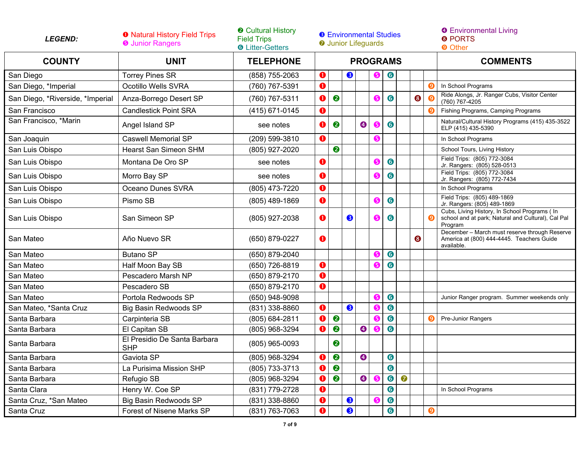| <b>LEGEND:</b>                   | <b>O</b> Natural History Field Trips<br><b>O</b> Junior Rangers | <b>@ Cultural History</b><br><b>Field Trips</b><br><b>O</b> Litter-Getters |                  | <b>8</b> Environmental Studies<br><b>O</b> Junior Lifeguards |           |           |                 |           |           |           |          | <b>O</b> Environmental Living<br><b>8 PORTS</b><br><b>O</b> Other                                              |
|----------------------------------|-----------------------------------------------------------------|----------------------------------------------------------------------------|------------------|--------------------------------------------------------------|-----------|-----------|-----------------|-----------|-----------|-----------|----------|----------------------------------------------------------------------------------------------------------------|
| <b>COUNTY</b>                    | <b>UNIT</b>                                                     | <b>TELEPHONE</b>                                                           |                  |                                                              |           |           | <b>PROGRAMS</b> |           |           |           |          | <b>COMMENTS</b>                                                                                                |
| San Diego                        | <b>Torrey Pines SR</b>                                          | (858) 755-2063                                                             | $\mathbf 0$      |                                                              | ❸         |           | G               | $\bullet$ |           |           |          |                                                                                                                |
| San Diego, *Imperial             | Ocotillo Wells SVRA                                             | (760) 767-5391                                                             | $\mathbf 0$      |                                                              |           |           |                 |           |           |           | <b>g</b> | In School Programs                                                                                             |
| San Diego, *Riverside, *Imperial | Anza-Borrego Desert SP                                          | (760) 767-5311                                                             | $\mathbf 0$      | $\bullet$                                                    |           |           | 6               | $\bullet$ |           | $\bullet$ |          | Ride Alongs, Jr. Ranger Cubs, Visitor Center<br>(760) 767-4205                                                 |
| San Francisco                    | <b>Candlestick Point SRA</b>                                    | (415) 671-0145                                                             | 0                |                                                              |           |           |                 |           |           |           |          | Fishing Programs, Camping Programs                                                                             |
| San Francisco, *Marin            | Angel Island SP                                                 | see notes                                                                  | $\mathbf 0$      | ❷                                                            |           | $\bullet$ | 6               | 6         |           |           |          | Natural/Cultural History Programs (415) 435-3522<br>ELP (415) 435-5390                                         |
| San Joaquin                      | <b>Caswell Memorial SP</b>                                      | (209) 599-3810                                                             | $\mathbf 0$      |                                                              |           |           | 6               |           |           |           |          | In School Programs                                                                                             |
| San Luis Obispo                  | <b>Hearst San Simeon SHM</b>                                    | (805) 927-2020                                                             |                  | $\bullet$                                                    |           |           |                 |           |           |           |          | School Tours, Living History                                                                                   |
| San Luis Obispo                  | Montana De Oro SP                                               | see notes                                                                  | O                |                                                              |           |           | 6               | $\bullet$ |           |           |          | Field Trips: (805) 772-3084<br>Jr. Rangers: (805) 528-0513                                                     |
| San Luis Obispo                  | Morro Bay SP                                                    | see notes                                                                  | $\mathbf 0$      |                                                              |           |           | ❺               | $\bullet$ |           |           |          | Field Trips: (805) 772-3084<br>Jr. Rangers: (805) 772-7434                                                     |
| San Luis Obispo                  | Oceano Dunes SVRA                                               | (805) 473-7220                                                             | $\mathbf 0$      |                                                              |           |           |                 |           |           |           |          | In School Programs                                                                                             |
| San Luis Obispo                  | Pismo SB                                                        | (805) 489-1869                                                             | $\mathbf 0$      |                                                              |           |           | G               | 6         |           |           |          | Field Trips: (805) 489-1869<br>Jr. Rangers: (805) 489-1869                                                     |
| San Luis Obispo                  | San Simeon SP                                                   | (805) 927-2038                                                             | $\mathbf 0$      |                                                              | ❸         |           | 6               | 6         |           |           |          | Cubs, Living History, In School Programs ( In<br>school and at park; Natural and Cultural), Cal Pal<br>Program |
| San Mateo                        | Año Nuevo SR                                                    | (650) 879-0227                                                             | 0                |                                                              |           |           |                 |           |           | ❸         |          | December - March must reserve through Reserve<br>America at (800) 444-4445. Teachers Guide<br>available.       |
| San Mateo                        | <b>Butano SP</b>                                                | (650) 879-2040                                                             |                  |                                                              |           |           | G               | $\bullet$ |           |           |          |                                                                                                                |
| San Mateo                        | Half Moon Bay SB                                                | (650) 726-8819                                                             | $\mathbf 0$      |                                                              |           |           | 6               | 6         |           |           |          |                                                                                                                |
| San Mateo                        | Pescadero Marsh NP                                              | (650) 879-2170                                                             | $\mathbf 0$      |                                                              |           |           |                 |           |           |           |          |                                                                                                                |
| San Mateo                        | Pescadero SB                                                    | (650) 879-2170                                                             | 0                |                                                              |           |           |                 |           |           |           |          |                                                                                                                |
| San Mateo                        | Portola Redwoods SP                                             | (650) 948-9098                                                             |                  |                                                              |           |           | G               | $\bullet$ |           |           |          | Junior Ranger program. Summer weekends only                                                                    |
| San Mateo, *Santa Cruz           | Big Basin Redwoods SP                                           | (831) 338-8860                                                             | $\bullet$        |                                                              | $\bullet$ |           | G               | 6         |           |           |          |                                                                                                                |
| Santa Barbara                    | Carpinteria SB                                                  | (805) 684-2811                                                             | $\mathbf 0$      | 2                                                            |           |           | 6               | $\bullet$ |           |           |          | Pre-Junior Rangers                                                                                             |
| Santa Barbara                    | El Capitan SB                                                   | (805) 968-3294                                                             | O                | $\bullet$                                                    |           | $\bullet$ | 6               | $\bullet$ |           |           |          |                                                                                                                |
| Santa Barbara                    | El Presidio De Santa Barbara<br><b>SHP</b>                      | (805) 965-0093                                                             |                  | ❷                                                            |           |           |                 |           |           |           |          |                                                                                                                |
| Santa Barbara                    | Gaviota SP                                                      | (805) 968-3294                                                             | $\mathbf{O}$ $ $ | $\bullet$                                                    |           | $\bullet$ |                 | $\bullet$ |           |           |          |                                                                                                                |
| Santa Barbara                    | La Purisima Mission SHP                                         | (805) 733-3713                                                             | $\bullet$        | $\bullet$                                                    |           |           |                 | 6         |           |           |          |                                                                                                                |
| Santa Barbara                    | Refugio SB                                                      | (805) 968-3294                                                             | O                | 2                                                            |           | $\bullet$ | 6               | $\bullet$ | $\bullet$ |           |          |                                                                                                                |
| Santa Clara                      | Henry W. Coe SP                                                 | (831) 779-2728                                                             | $\mathbf 0$      |                                                              |           |           |                 | $\bullet$ |           |           |          | In School Programs                                                                                             |
| Santa Cruz, *San Mateo           | <b>Big Basin Redwoods SP</b>                                    | (831) 338-8860                                                             | $\mathbf 0$      |                                                              | ❸         |           | (5              | $\bullet$ |           |           |          |                                                                                                                |
| Santa Cruz                       | Forest of Nisene Marks SP                                       | (831) 763-7063                                                             | O                |                                                              | ❸         |           |                 | $\bullet$ |           |           | ❷        |                                                                                                                |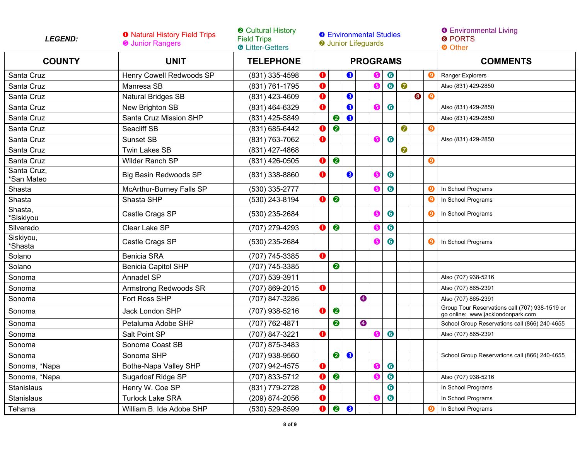| <b>LEGEND:</b>                              | <b>O</b> Natural History Field Trips<br><b>O</b> Junior Rangers | <b>@ Cultural History</b><br><b>Field Trips</b><br><b>O</b> Litter-Getters |             | <b>8</b> Environmental Studies<br><b>O</b> Junior Lifeguards |           |           |    |           |           |                 |                       | <b>O</b> Environmental Living<br><b>8 PORTS</b><br><b>O</b> Other                   |
|---------------------------------------------|-----------------------------------------------------------------|----------------------------------------------------------------------------|-------------|--------------------------------------------------------------|-----------|-----------|----|-----------|-----------|-----------------|-----------------------|-------------------------------------------------------------------------------------|
| <b>COUNTY</b>                               | <b>UNIT</b><br><b>TELEPHONE</b><br><b>PROGRAMS</b>              |                                                                            |             |                                                              |           |           |    |           |           | <b>COMMENTS</b> |                       |                                                                                     |
| Santa Cruz                                  | Henry Cowell Redwoods SP                                        | (831) 335-4598                                                             | ❶           |                                                              | 8         |           | (5 | $\bullet$ |           |                 | 0                     | Ranger Explorers                                                                    |
| Santa Cruz                                  | Manresa SB                                                      | (831) 761-1795                                                             | 0           |                                                              |           |           | ❺  | $\bullet$ | $\bullet$ |                 |                       | Also (831) 429-2850                                                                 |
| Santa Cruz                                  | Natural Bridges SB                                              | (831) 423-4609                                                             | $\mathbf 0$ |                                                              | $\bullet$ |           |    |           |           | $\bullet$       | $\boldsymbol{\Theta}$ |                                                                                     |
| Santa Cruz                                  | New Brighton SB                                                 | (831) 464-6329                                                             | $\bullet$   |                                                              | ❸         |           | G  | $\bullet$ |           |                 |                       | Also (831) 429-2850                                                                 |
| Santa Cruz                                  | Santa Cruz Mission SHP                                          | (831) 425-5849                                                             |             | 2                                                            | ❸         |           |    |           |           |                 |                       | Also (831) 429-2850                                                                 |
| Santa Cruz                                  | Seacliff SB                                                     | (831) 685-6442                                                             | O           | $\bullet$                                                    |           |           |    |           | 0         |                 | Ο                     |                                                                                     |
| Santa Cruz                                  | <b>Sunset SB</b>                                                | (831) 763-7062                                                             | $\bullet$   |                                                              |           |           | ❺  | $\bullet$ |           |                 |                       | Also (831) 429-2850                                                                 |
| Santa Cruz                                  | <b>Twin Lakes SB</b>                                            | (831) 427-4868                                                             |             |                                                              |           |           |    |           | 0         |                 |                       |                                                                                     |
| Santa Cruz                                  | Wilder Ranch SP                                                 | (831) 426-0505                                                             | ❶           | 2                                                            |           |           |    |           |           |                 | $\boldsymbol{\Theta}$ |                                                                                     |
| Santa Cruz,<br>*San Mateo                   | <b>Big Basin Redwoods SP</b>                                    | (831) 338-8860                                                             | $\bullet$   |                                                              | 8         |           | ❺  | 6         |           |                 |                       |                                                                                     |
| Shasta                                      | McArthur-Burney Falls SP                                        | (530) 335-2777                                                             |             |                                                              |           |           | G  | $\bullet$ |           |                 |                       | In School Programs                                                                  |
| Shasta                                      | Shasta SHP                                                      | (530) 243-8194                                                             | $\mathbf 0$ | $\bullet$                                                    |           |           |    |           |           |                 | $\mathbf{Q}$          | In School Programs                                                                  |
| $\overline{\mathsf{Shasta}}$ ,<br>*Siskiyou | Castle Crags SP                                                 | (530) 235-2684                                                             |             |                                                              |           |           | ❺  | 6         |           |                 | $\boldsymbol{\Omega}$ | In School Programs                                                                  |
| Silverado                                   | Clear Lake SP                                                   | (707) 279-4293                                                             | $\mathbf 0$ | $\bullet$                                                    |           |           | 6  | $\bullet$ |           |                 |                       |                                                                                     |
| Siskiyou,<br>*Shasta                        | Castle Crags SP                                                 | (530) 235-2684                                                             |             |                                                              |           |           | G  | 6         |           |                 | $\boldsymbol{\Omega}$ | In School Programs                                                                  |
| Solano                                      | <b>Benicia SRA</b>                                              | (707) 745-3385                                                             | $\bullet$   |                                                              |           |           |    |           |           |                 |                       |                                                                                     |
| Solano                                      | <b>Benicia Capitol SHP</b>                                      | (707) 745-3385                                                             |             | 2                                                            |           |           |    |           |           |                 |                       |                                                                                     |
| Sonoma                                      | Annadel SP                                                      | (707) 539-3911                                                             |             |                                                              |           |           |    |           |           |                 |                       | Also (707) 938-5216                                                                 |
| Sonoma                                      | Armstrong Redwoods SR                                           | (707) 869-2015                                                             | $\bullet$   |                                                              |           |           |    |           |           |                 |                       | Also (707) 865-2391                                                                 |
| Sonoma                                      | Fort Ross SHP                                                   | (707) 847-3286                                                             |             |                                                              |           | $\bullet$ |    |           |           |                 |                       | Also (707) 865-2391                                                                 |
| Sonoma                                      | Jack London SHP                                                 | (707) 938-5216                                                             | $\bullet$   | $\bullet$                                                    |           |           |    |           |           |                 |                       | Group Tour Reservations call (707) 938-1519 or<br>go online: www.jacklondonpark.com |
| Sonoma                                      | Petaluma Adobe SHP                                              | (707) 762-4871                                                             |             | 2                                                            |           | $\bullet$ |    |           |           |                 |                       | School Group Reservations call (866) 240-4655                                       |
| Sonoma                                      | Salt Point SP                                                   | (707) 847-3221                                                             | $\bullet$   |                                                              |           |           | 6  | $\bullet$ |           |                 |                       | Also (707) 865-2391                                                                 |
| Sonoma                                      | Sonoma Coast SB                                                 | (707) 875-3483                                                             |             |                                                              |           |           |    |           |           |                 |                       |                                                                                     |
| Sonoma                                      | Sonoma SHP                                                      | (707) 938-9560                                                             |             | $\bullet$                                                    | $\bullet$ |           |    |           |           |                 |                       | School Group Reservations call (866) 240-4655                                       |
| Sonoma, *Napa                               | Bothe-Napa Valley SHP                                           | (707) 942-4575                                                             | $\bf o$     |                                                              |           |           | G  | $\bullet$ |           |                 |                       |                                                                                     |
| Sonoma, *Napa                               | Sugarloaf Ridge SP                                              | (707) 833-5712                                                             | O           | ❷                                                            |           |           | 6  | $\bullet$ |           |                 |                       | Also (707) 938-5216                                                                 |
| Stanislaus                                  | Henry W. Coe SP                                                 | (831) 779-2728                                                             | $\mathbf 0$ |                                                              |           |           |    | $\bullet$ |           |                 |                       | In School Programs                                                                  |
| Stanislaus                                  | <b>Turlock Lake SRA</b>                                         | (209) 874-2056                                                             | $\mathbf 0$ |                                                              |           |           | G  | $\bullet$ |           |                 |                       | In School Programs                                                                  |
| Tehama                                      | William B. Ide Adobe SHP                                        | $(530) 529 - 8599$                                                         | $\bullet$   | ❷                                                            | ❸         |           |    |           |           |                 | $\overline{9}$        | In School Programs                                                                  |

L